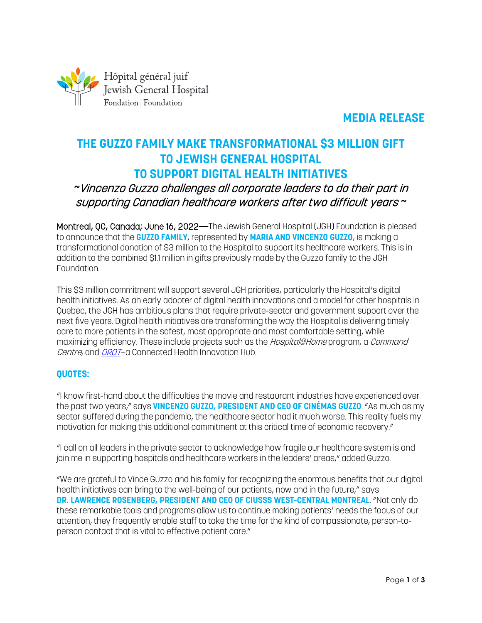

## **MEDIA RELEASE**

# **THE GUZZO FAMILY MAKE TRANSFORMATIONAL \$3 MILLION GIFT TO JEWISH GENERAL HOSPITAL TO SUPPORT DIGITAL HEALTH INITIATIVES**

## *~*Vincenzo Guzzo challenges all corporate leaders to do their part in supporting Canadian healthcare workers after two difficult years *~*

Montreal, QC, Canada; June 16, 2022**—**The Jewish General Hospital (JGH) Foundation is pleased to announce that the **GUZZO FAMILY**, represented by **MARIA AND VINCENZO GUZZO**, is making a transformational donation of \$3 million to the Hospital to support its healthcare workers. This is in addition to the combined \$1.1 million in gifts previously made by the Guzzo family to the JGH Foundation.

This \$3 million commitment will support several JGH priorities, particularly the Hospital's digital health initiatives. As an early adopter of digital health innovations and a model for other hospitals in Quebec, the JGH has ambitious plans that require private-sector and government support over the next five years. Digital health initiatives are transforming the way the Hospital is delivering timely care to more patients in the safest, most appropriate and most comfortable setting, while maximizing efficiency. These include projects such as the *Hospital@Home* program, a *Command* Centre, and [OROT](https://orot-jgh.org/)-a Connected Health Innovation Hub.

#### **QUOTES:**

"I know first-hand about the difficulties the movie and restaurant industries have experienced over the past two years," says **VINCENZO GUZZO, PRESIDENT AND CEO OF CINÉMAS GUZZO**. "As much as my sector suffered during the pandemic, the healthcare sector had it much worse. This reality fuels my motivation for making this additional commitment at this critical time of economic recovery."

"I call on all leaders in the private sector to acknowledge how fragile our healthcare system is and join me in supporting hospitals and healthcare workers in the leaders' areas," added Guzzo.

"We are grateful to Vince Guzzo and his family for recognizing the enormous benefits that our digital health initiatives can bring to the well-being of our patients, now and in the future," says **DR. LAWRENCE ROSENBERG, PRESIDENT AND CEO OF CIUSSS WEST-CENTRAL MONTREAL**. "Not only do these remarkable tools and programs allow us to continue making patients' needs the focus of our attention, they frequently enable staff to take the time for the kind of compassionate, person-toperson contact that is vital to effective patient care."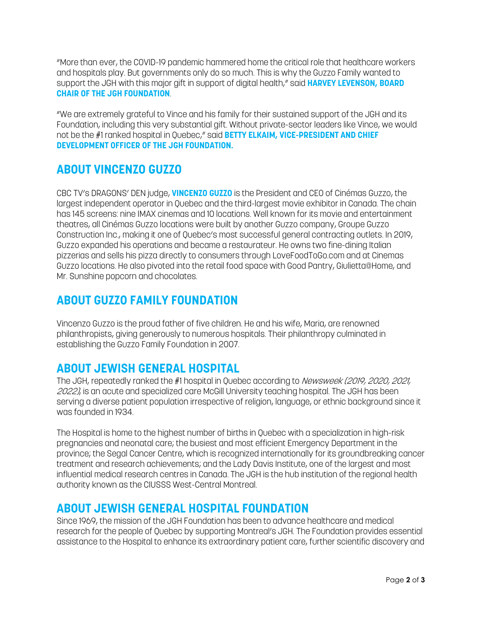"More than ever, the COVID-19 pandemic hammered home the critical role that healthcare workers and hospitals play. But governments only do so much. This is why the Guzzo Family wanted to support the JGH with this major gift in support of digital health," said **HARVEY LEVENSON, BOARD CHAIR OF THE JGH FOUNDATION**.

"We are extremely grateful to Vince and his family for their sustained support of the JGH and its Foundation, including this very substantial gift. Without private-sector leaders like Vince, we would not be the #1 ranked hospital in Quebec," said **BETTY ELKAIM, VICE-PRESIDENT AND CHIEF DEVELOPMENT OFFICER OF THE JGH FOUNDATION.**

# **ABOUT VINCENZO GUZZO**

CBC TV's DRAGONS' DEN judge, **VINCENZO GUZZO** is the President and CEO of Cinémas Guzzo, the largest independent operator in Quebec and the third-largest movie exhibitor in Canada. The chain has 145 screens: nine IMAX cinemas and 10 locations. Well known for its movie and entertainment theatres, all Cinémas Guzzo locations were built by another Guzzo company, Groupe Guzzo Construction Inc., making it one of Quebec's most successful general contracting outlets. In 2019, Guzzo expanded his operations and became a restaurateur. He owns two fine-dining Italian pizzerias and sells his pizza directly to consumers through LoveFoodToGo.com and at Cinemas Guzzo locations. He also pivoted into the retail food space with Good Pantry, Giulietta@Home, and Mr. Sunshine popcorn and chocolates.

## **ABOUT GUZZO FAMILY FOUNDATION**

Vincenzo Guzzo is the proud father of five children. He and his wife, Maria, are renowned philanthropists, giving generously to numerous hospitals. Their philanthropy culminated in establishing the Guzzo Family Foundation in 2007.

## **ABOUT JEWISH GENERAL HOSPITAL**

The JGH, repeatedly ranked the #1 hospital in Quebec according to Newsweek (2019, 2020, 2021, 2022), is an acute and specialized care McGill University teaching hospital. The JGH has been serving a diverse patient population irrespective of religion, language, or ethnic background since it was founded in 1934.

The Hospital is home to the highest number of births in Quebec with a specialization in high-risk pregnancies and neonatal care; the busiest and most efficient Emergency Department in the province; the Segal Cancer Centre, which is recognized internationally for its groundbreaking cancer treatment and research achievements; and the Lady Davis Institute, one of the largest and most influential medical research centres in Canada. The JGH is the hub institution of the regional health authority known as the CIUSSS West-Central Montreal.

## **ABOUT JEWISH GENERAL HOSPITAL FOUNDATION**

Since 1969, the mission of the JGH Foundation has been to advance healthcare and medical research for the people of Quebec by supporting Montreal's JGH. The Foundation provides essential assistance to the Hospital to enhance its extraordinary patient care, further scientific discovery and